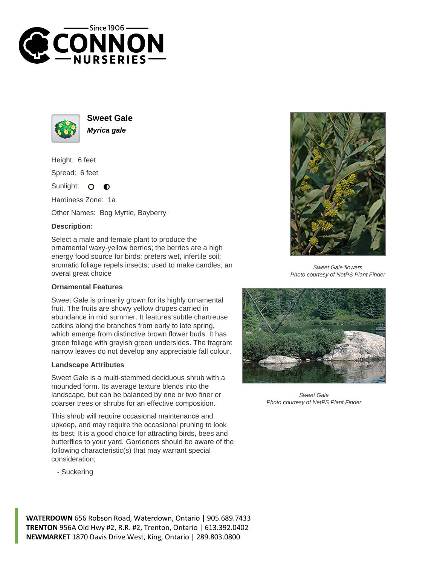



**Sweet Gale Myrica gale**

Height: 6 feet

Spread: 6 feet

Sunlight:  $\bullet$  $\bullet$ 

Hardiness Zone: 1a

Other Names: Bog Myrtle, Bayberry

## **Description:**

Select a male and female plant to produce the ornamental waxy-yellow berries; the berries are a high energy food source for birds; prefers wet, infertile soil; aromatic foliage repels insects; used to make candles; an overal great choice

## **Ornamental Features**

Sweet Gale is primarily grown for its highly ornamental fruit. The fruits are showy yellow drupes carried in abundance in mid summer. It features subtle chartreuse catkins along the branches from early to late spring, which emerge from distinctive brown flower buds. It has green foliage with grayish green undersides. The fragrant narrow leaves do not develop any appreciable fall colour.

## **Landscape Attributes**

Sweet Gale is a multi-stemmed deciduous shrub with a mounded form. Its average texture blends into the landscape, but can be balanced by one or two finer or coarser trees or shrubs for an effective composition.

This shrub will require occasional maintenance and upkeep, and may require the occasional pruning to look its best. It is a good choice for attracting birds, bees and butterflies to your yard. Gardeners should be aware of the following characteristic(s) that may warrant special consideration;

- Suckering



Sweet Gale flowers Photo courtesy of NetPS Plant Finder



Sweet Gale Photo courtesy of NetPS Plant Finder

**WATERDOWN** 656 Robson Road, Waterdown, Ontario | 905.689.7433 **TRENTON** 956A Old Hwy #2, R.R. #2, Trenton, Ontario | 613.392.0402 **NEWMARKET** 1870 Davis Drive West, King, Ontario | 289.803.0800